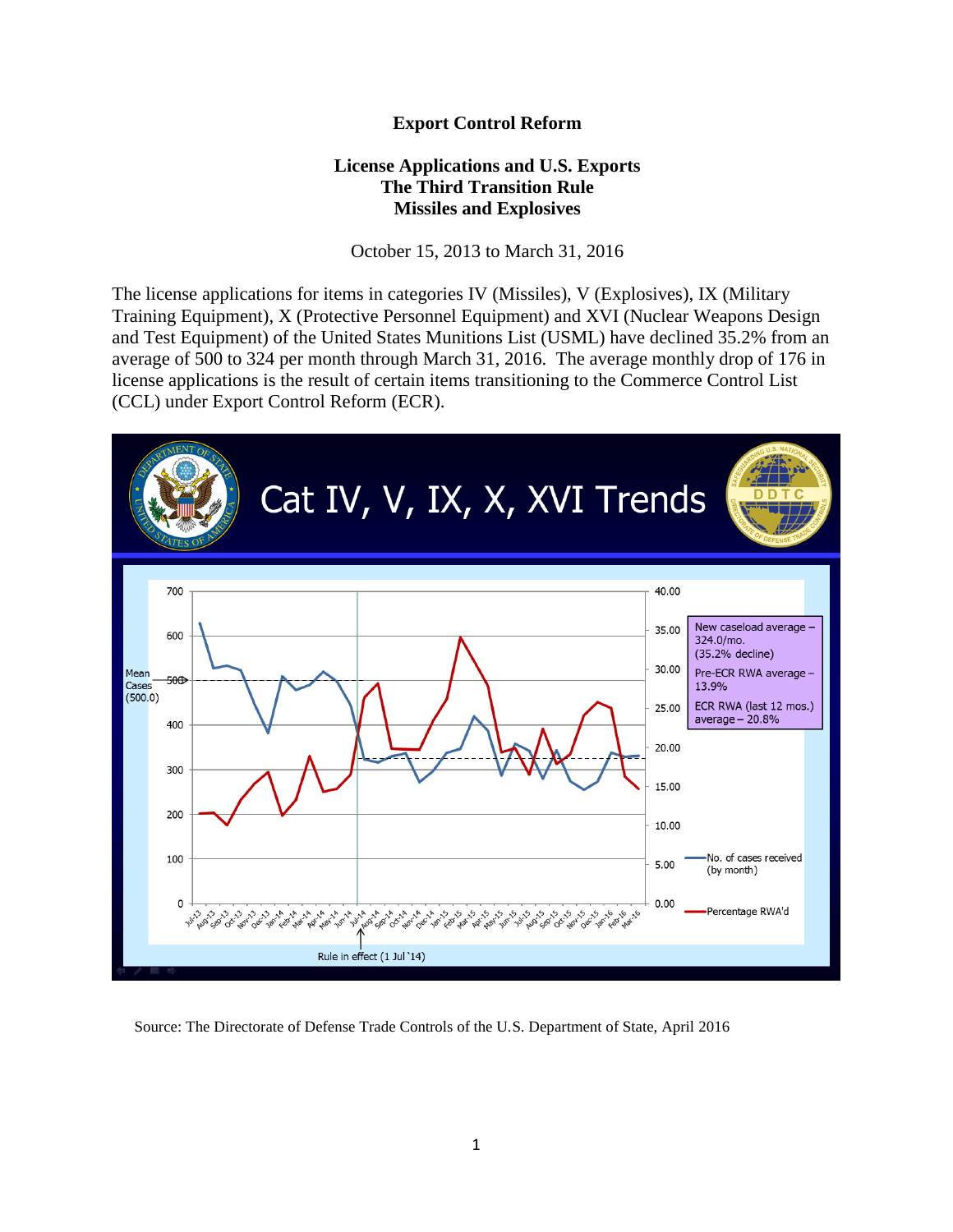## **Export Control Reform**

## **License Applications and U.S. Exports The Third Transition Rule Missiles and Explosives**

October 15, 2013 to March 31, 2016

The license applications for items in categories IV (Missiles), V (Explosives), IX (Military Training Equipment), X (Protective Personnel Equipment) and XVI (Nuclear Weapons Design and Test Equipment) of the United States Munitions List (USML) have declined 35.2% from an average of 500 to 324 per month through March 31, 2016. The average monthly drop of 176 in license applications is the result of certain items transitioning to the Commerce Control List (CCL) under Export Control Reform (ECR).



Source: The Directorate of Defense Trade Controls of the U.S. Department of State, April 2016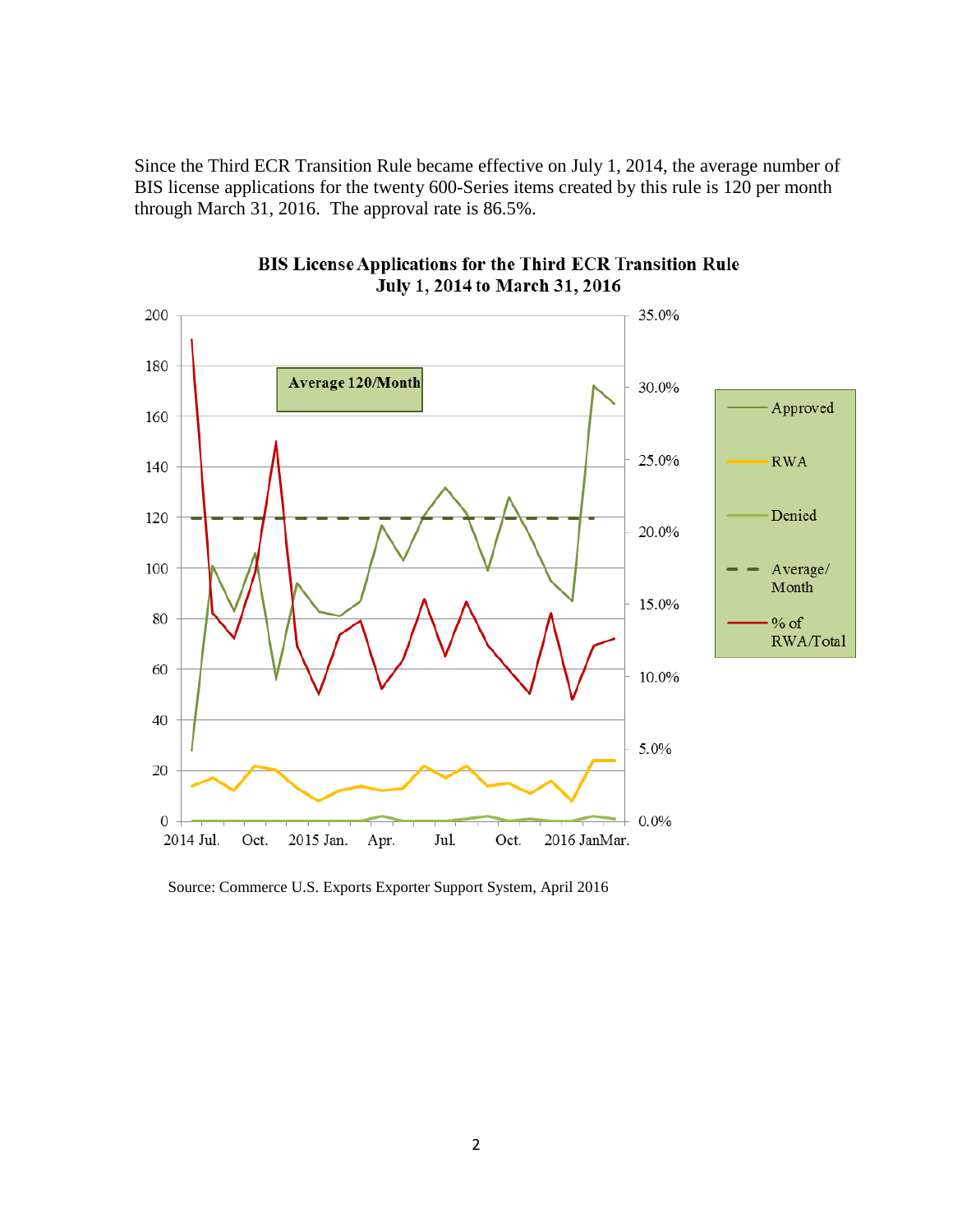Since the Third ECR Transition Rule became effective on July 1, 2014, the average number of BIS license applications for the twenty 600-Series items created by this rule is 120 per month through March 31, 2016. The approval rate is 86.5%.



## BIS License Applications for the Third ECR Transition Rule July 1, 2014 to March 31, 2016

Source: Commerce U.S. Exports Exporter Support System, April 2016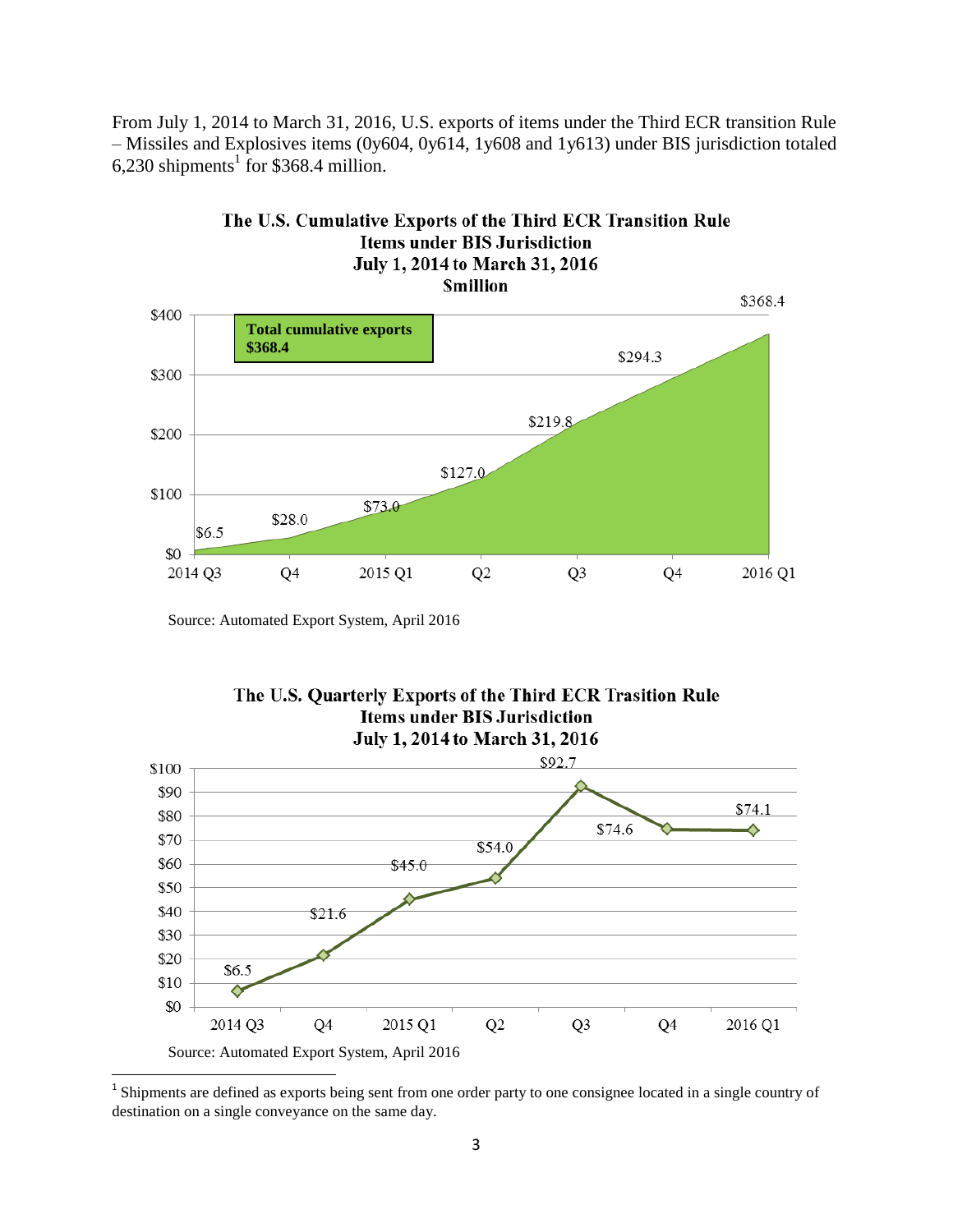From July 1, 2014 to March 31, 2016, U.S. exports of items under the Third ECR transition Rule – Missiles and Explosives items (0y604, 0y614, 1y608 and 1y613) under BIS jurisdiction totaled 6,230 shipments<sup>1</sup> for \$368.4 million.



Source: Automated Export System, April 2016



The U.S. Quarterly Exports of the Third ECR Trasition Rule

<sup>&</sup>lt;sup>1</sup> Shipments are defined as exports being sent from one order party to one consignee located in a single country of destination on a single conveyance on the same day.